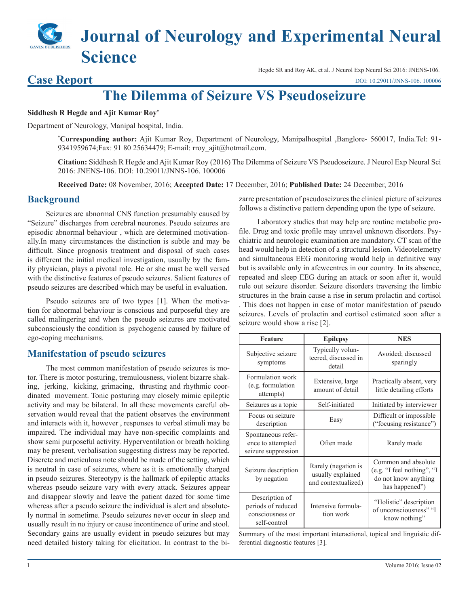## **Journal of Neurology and Experimental Neural Science** Hegde SR and Roy AK, et al. J Neurol Exp Neural Sci 2016: JNENS-106.

#### [DOI: 10.29011/JNNS-106. 100006](http://doi.org/10.29011/JNNS-106. 100006)

# **The Dilemma of Seizure VS Pseudoseizure**

#### **Siddhesh R Hegde and Ajit Kumar Roy\***

Department of Neurology, Manipal hospital, India.

**\* Corresponding author:** Ajit Kumar Roy, Department of Neurology, Manipalhospital ,Banglore- 560017, India.Tel: 91- 9341959674; Fax: 91 80 25634479; E-mail: rroy\_ajit@hotmail.com.

**Citation:** Siddhesh R Hegde and Ajit Kumar Roy (2016) The Dilemma of Seizure VS Pseudoseizure. J Neurol Exp Neural Sci 2016: JNENS-106. DOI: 10.29011/JNNS-106. 100006

**Received Date:** 08 November, 2016; **Accepted Date:** 17 December, 2016; **Published Date:** 24 December, 2016

#### **Background**

**Case Report**

Seizures are abnormal CNS function presumably caused by "Seizure" discharges from cerebral neurones. Pseudo seizures are episodic abnormal behaviour , which are determined motivationally.In many circumstances the distinction is subtle and may be difficult. Since prognosis treatment and disposal of such cases is different the initial medical investigation, usually by the family physician, plays a pivotal role. He or she must be well versed with the distinctive features of pseudo seizures. Salient features of pseudo seizures are described which may be useful in evaluation.

Pseudo seizures are of two types [1]. When the motivation for abnormal behaviour is conscious and purposeful they are called malingering and when the pseudo seizures are motivated subconsciously the condition is psychogenic caused by failure of ego-coping mechanisms.

#### **Manifestation of pseudo seizures**

The most common manifestation of pseudo seizures is motor. There is motor posturing, tremulousness, violent bizarre shaking, jerking, kicking, grimacing, thrusting and rhythmic coordinated movement. Tonic posturing may closely mimic epileptic activity and may be bilateral. In all these movements careful observation would reveal that the patient observes the environment and interacts with it, however , responses to verbal stimuli may be impaired. The individual may have non-specific complaints and show semi purposeful activity. Hyperventilation or breath holding may be present, verbalisation suggesting distress may be reported. Discrete and meticulous note should be made of the setting, which is neutral in case of seizures, where as it is emotionally charged in pseudo seizures. Stereotypy is the hallmark of epileptic attacks whereas pseudo seizure vary with every attack. Seizures appear and disappear slowly and leave the patient dazed for some time whereas after a pseudo seizure the individual is alert and absolutely normal in sometime. Pseudo seizures never occur in sleep and usually result in no injury or cause incontinence of urine and stool. Secondary gains are usually evident in pseudo seizures but may need detailed history taking for elicitation. In contrast to the bizarre presentation of pseudoseizures the clinical picture of seizures follows a distinctive pattern depending upon the type of seizure.

Laboratory studies that may help are routine metabolic profile. Drug and toxic profile may unravel unknown disorders. Psychiatric and neurologic examination are mandatory. CT scan of the head would help in detection of a structural lesion. Videotelemetry and simultaneous EEG monitoring would help in definitive way but is available only in afewcentres in our country. In its absence, repeated and sleep EEG during an attack or soon after it, would rule out seizure disorder. Seizure disorders traversing the limbic structures in the brain cause a rise in serum prolactin and cortisol . This does not happen in case of motor manifestation of pseudo seizures. Levels of prolactin and cortisol estimated soon after a seizure would show a rise [2].

| <b>Feature</b>                                                           | <b>Epilepsy</b>                                                 | <b>NES</b>                                                                                  |
|--------------------------------------------------------------------------|-----------------------------------------------------------------|---------------------------------------------------------------------------------------------|
| Subjective seizure<br>symptoms                                           | Typically volun-<br>teered, discussed in<br>detail              | Avoided; discussed<br>sparingly                                                             |
| Formulation work<br>(e.g. formulation<br>attempts)                       | Extensive, large<br>amount of detail                            | Practically absent, very<br>little detailing efforts                                        |
| Seizures as a topic                                                      | Self-initiated                                                  | Initiated by interviewer                                                                    |
| Focus on seizure<br>description                                          | Easy                                                            | Difficult or impossible<br>("focusing resistance")                                          |
| Spontaneous refer-<br>ence to attempted<br>seizure suppression           | Often made                                                      | Rarely made                                                                                 |
| Seizure description<br>by negation                                       | Rarely (negation is<br>usually explained<br>and contextualized) | Common and absolute<br>(e.g. "I feel nothing", "I<br>do not know anything<br>has happened") |
| Description of<br>periods of reduced<br>consciousness or<br>self-control | Intensive formula-<br>tion work                                 | "Holistic" description<br>of unconsciousness" "I<br>know nothing"                           |

Summary of the most important interactional, topical and linguistic differential diagnostic features [3].